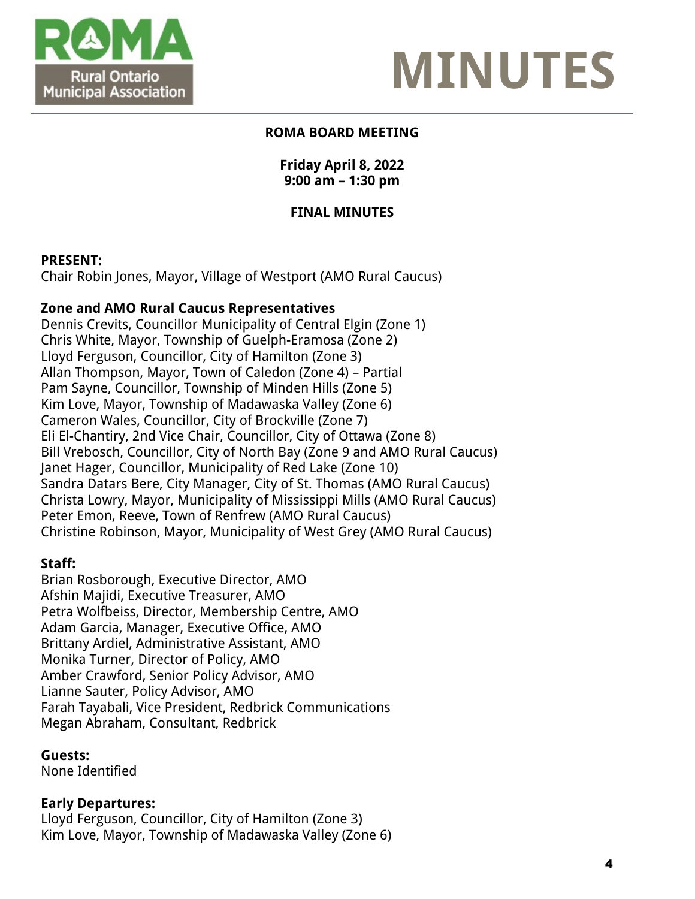



### **ROMA BOARD MEETING**

#### **Friday April 8, 2022 9:00 am – 1:30 pm**

### **FINAL MINUTES**

#### **PRESENT:**

Chair Robin Jones, Mayor, Village of Westport (AMO Rural Caucus)

#### **Zone and AMO Rural Caucus Representatives**

Dennis Crevits, Councillor Municipality of Central Elgin (Zone 1) Chris White, Mayor, Township of Guelph-Eramosa (Zone 2) Lloyd Ferguson, Councillor, City of Hamilton (Zone 3) Allan Thompson, Mayor, Town of Caledon (Zone 4) – Partial Pam Sayne, Councillor, Township of Minden Hills (Zone 5) Kim Love, Mayor, Township of Madawaska Valley (Zone 6) Cameron Wales, Councillor, City of Brockville (Zone 7) Eli El-Chantiry, 2nd Vice Chair, Councillor, City of Ottawa (Zone 8) Bill Vrebosch, Councillor, City of North Bay (Zone 9 and AMO Rural Caucus) Janet Hager, Councillor, Municipality of Red Lake (Zone 10) Sandra Datars Bere, City Manager, City of St. Thomas (AMO Rural Caucus) Christa Lowry, Mayor, Municipality of Mississippi Mills (AMO Rural Caucus) Peter Emon, Reeve, Town of Renfrew (AMO Rural Caucus) Christine Robinson, Mayor, Municipality of West Grey (AMO Rural Caucus)

#### **Staff:**

Brian Rosborough, Executive Director, AMO Afshin Majidi, Executive Treasurer, AMO Petra Wolfbeiss, Director, Membership Centre, AMO Adam Garcia, Manager, Executive Office, AMO Brittany Ardiel, Administrative Assistant, AMO Monika Turner, Director of Policy, AMO Amber Crawford, Senior Policy Advisor, AMO Lianne Sauter, Policy Advisor, AMO Farah Tayabali, Vice President, Redbrick Communications Megan Abraham, Consultant, Redbrick

#### **Guests:**

None Identified

#### **Early Departures:**

Lloyd Ferguson, Councillor, City of Hamilton (Zone 3) Kim Love, Mayor, Township of Madawaska Valley (Zone 6)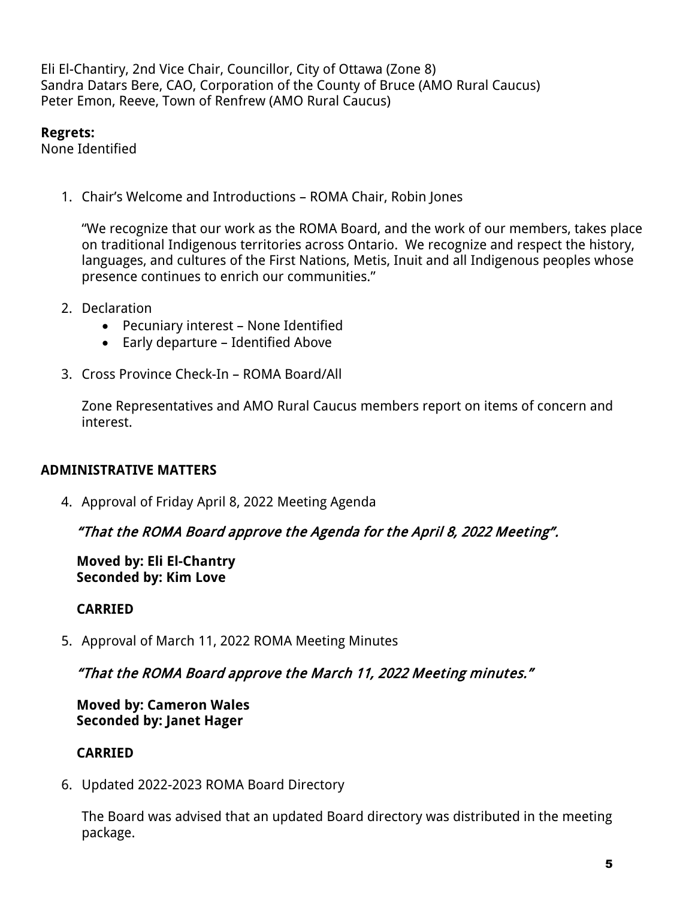Eli El-Chantiry, 2nd Vice Chair, Councillor, City of Ottawa (Zone 8) Sandra Datars Bere, CAO, Corporation of the County of Bruce (AMO Rural Caucus) Peter Emon, Reeve, Town of Renfrew (AMO Rural Caucus)

#### **Regrets:**

None Identified

1. Chair's Welcome and Introductions – ROMA Chair, Robin Jones

"We recognize that our work as the ROMA Board, and the work of our members, takes place on traditional Indigenous territories across Ontario. We recognize and respect the history, languages, and cultures of the First Nations, Metis, Inuit and all Indigenous peoples whose presence continues to enrich our communities."

- 2. Declaration
	- Pecuniary interest None Identified
	- Early departure Identified Above
- 3. Cross Province Check-In ROMA Board/All

Zone Representatives and AMO Rural Caucus members report on items of concern and interest.

## **ADMINISTRATIVE MATTERS**

4. Approval of Friday April 8, 2022 Meeting Agenda

## "That the ROMA Board approve the Agenda for the April 8, 2022 Meeting".

**Moved by: Eli El-Chantry Seconded by: Kim Love**

## **CARRIED**

5. Approval of March 11, 2022 ROMA Meeting Minutes

## "That the ROMA Board approve the March 11, 2022 Meeting minutes."

#### **Moved by: Cameron Wales Seconded by: Janet Hager**

## **CARRIED**

6. Updated 2022-2023 ROMA Board Directory

The Board was advised that an updated Board directory was distributed in the meeting package.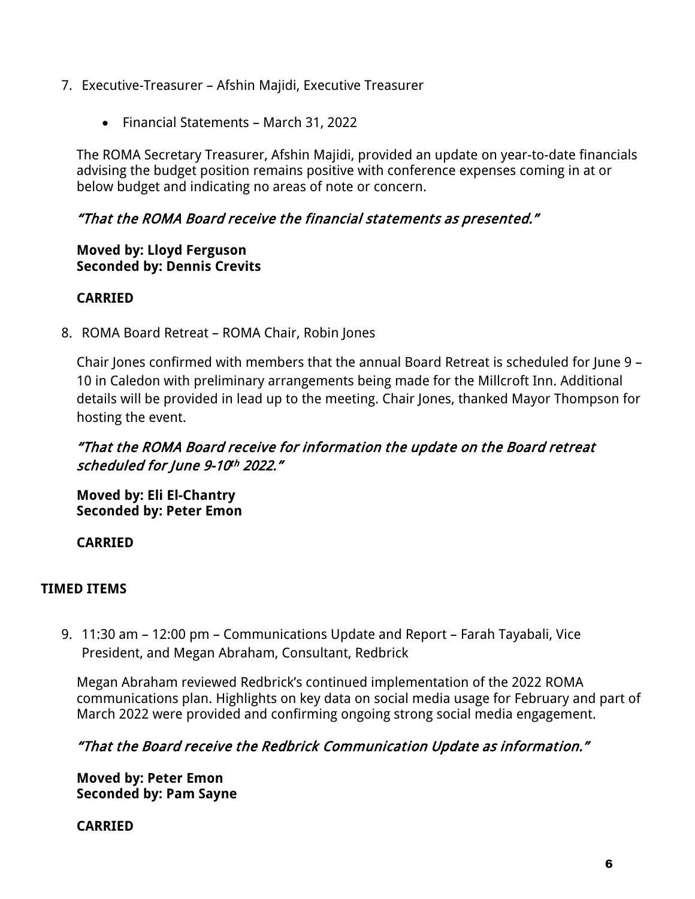- 7. Executive-Treasurer Afshin Majidi, Executive Treasurer
	- Financial Statements March 31, 2022

The ROMA Secretary Treasurer, Afshin Majidi, provided an update on year-to-date financials advising the budget position remains positive with conference expenses coming in at or below budget and indicating no areas of note or concern.

## "That the ROMA Board receive the financial statements as presented."

#### **Moved by: Lloyd Ferguson Seconded by: Dennis Crevits**

## **CARRIED**

8. ROMA Board Retreat – ROMA Chair, Robin Jones

Chair Jones confirmed with members that the annual Board Retreat is scheduled for June 9 – 10 in Caledon with preliminary arrangements being made for the Millcroft Inn. Additional details will be provided in lead up to the meeting. Chair Jones, thanked Mayor Thompson for hosting the event.

# "That the ROMA Board receive for information the update on the Board retreat scheduled for June 9-10th 2022."

**Moved by: Eli El-Chantry Seconded by: Peter Emon**

**CARRIED**

## **TIMED ITEMS**

9. 11:30 am – 12:00 pm – Communications Update and Report – Farah Tayabali, Vice President, and Megan Abraham, Consultant, Redbrick

Megan Abraham reviewed Redbrick's continued implementation of the 2022 ROMA communications plan. Highlights on key data on social media usage for February and part of March 2022 were provided and confirming ongoing strong social media engagement.

## "That the Board receive the Redbrick Communication Update as information."

**Moved by: Peter Emon Seconded by: Pam Sayne**

**CARRIED**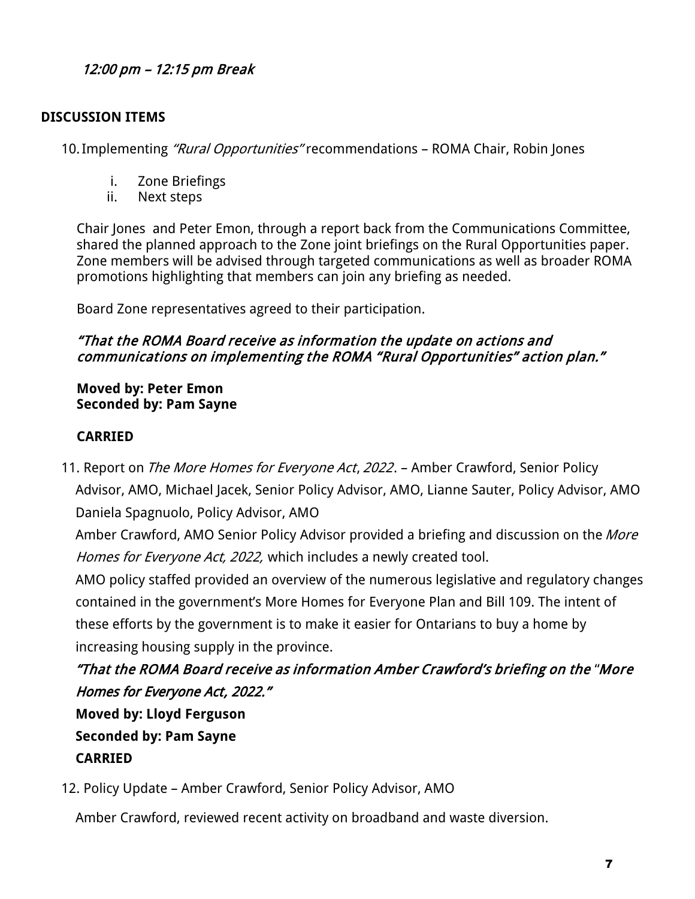# 12:00 pm – 12:15 pm Break

### **DISCUSSION ITEMS**

10. Implementing "Rural Opportunities" recommendations - ROMA Chair, Robin Jones

- i. Zone Briefings
- ii. Next steps

Chair Jones and Peter Emon, through a report back from the Communications Committee, shared the planned approach to the Zone joint briefings on the Rural Opportunities paper. Zone members will be advised through targeted communications as well as broader ROMA promotions highlighting that members can join any briefing as needed.

Board Zone representatives agreed to their participation.

### "That the ROMA Board receive as information the update on actions and communications on implementing the ROMA "Rural Opportunities" action plan."

#### **Moved by: Peter Emon Seconded by: Pam Sayne**

### **CARRIED**

11. Report on *The More Homes for Everyone Act, 2022*. – Amber Crawford, Senior Policy Advisor, AMO, Michael Jacek, Senior Policy Advisor, AMO, Lianne Sauter, Policy Advisor, AMO Daniela Spagnuolo, Policy Advisor, AMO

Amber Crawford, AMO Senior Policy Advisor provided a briefing and discussion on the More Homes for Everyone Act, 2022, which includes a newly created tool.

AMO policy staffed provided an overview of the numerous legislative and regulatory changes contained in the government's More Homes for Everyone Plan and Bill 109. The intent of these efforts by the government is to make it easier for Ontarians to buy a home by increasing housing supply in the province.

"That the ROMA Board receive as information Amber Crawford's briefing on the "More Homes for Everyone Act, 2022."

**Moved by: Lloyd Ferguson Seconded by: Pam Sayne CARRIED**

12. Policy Update – Amber Crawford, Senior Policy Advisor, AMO

Amber Crawford, reviewed recent activity on broadband and waste diversion.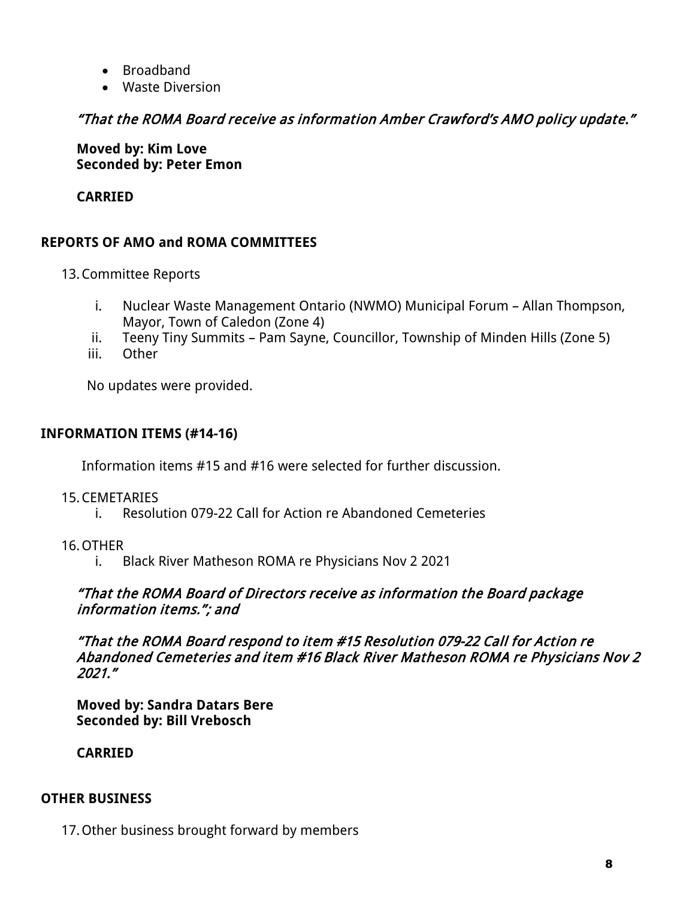- Broadband
- Waste Diversion

# "That the ROMA Board receive as information Amber Crawford's AMO policy update."

**Moved by: Kim Love Seconded by: Peter Emon**

## **CARRIED**

# **REPORTS OF AMO and ROMA COMMITTEES**

- 13.Committee Reports
	- i. Nuclear Waste Management Ontario (NWMO) Municipal Forum Allan Thompson, Mayor, Town of Caledon (Zone 4)
	- ii. Teeny Tiny Summits Pam Sayne, Councillor, Township of Minden Hills (Zone 5)
	- iii. Other

No updates were provided.

## **INFORMATION ITEMS (#14-16)**

Information items #15 and #16 were selected for further discussion.

#### 15.CEMETARIES

- i. Resolution 079-22 Call for Action re Abandoned Cemeteries
- 16.OTHER
	- i. Black River Matheson ROMA re Physicians Nov 2 2021

#### "That the ROMA Board of Directors receive as information the Board package information items."; and

"That the ROMA Board respond to item #15 Resolution 079-22 Call for Action re Abandoned Cemeteries and item #16 Black River Matheson ROMA re Physicians Nov 2 2021."

**Moved by: Sandra Datars Bere Seconded by: Bill Vrebosch** 

**CARRIED** 

#### **OTHER BUSINESS**

17.Other business brought forward by members